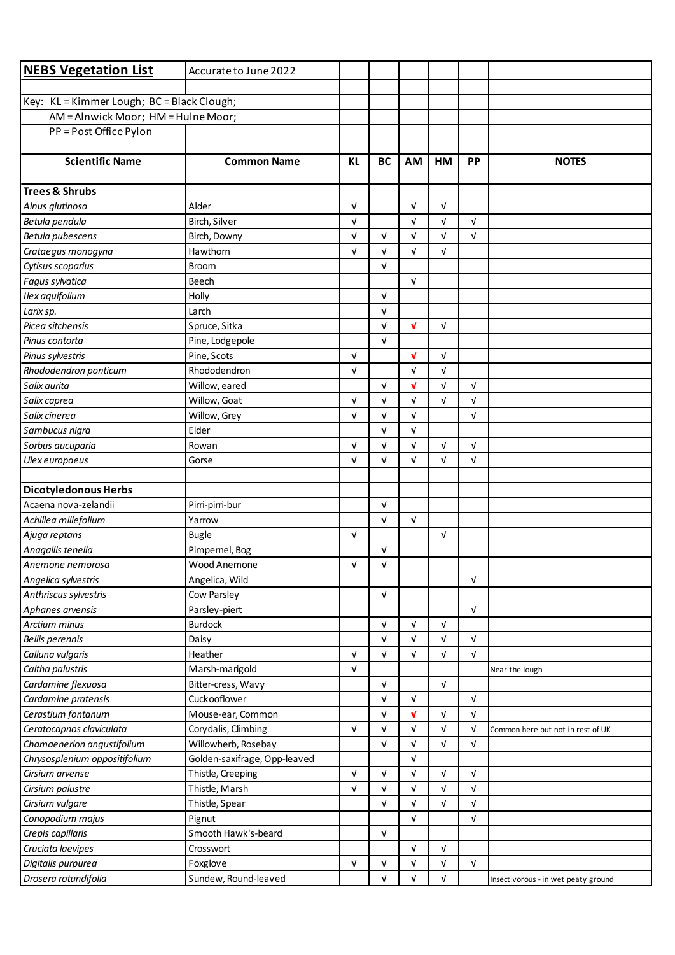| <b>NEBS Vegetation List</b>                         | Accurate to June 2022        |            |                          |              |            |            |                                     |
|-----------------------------------------------------|------------------------------|------------|--------------------------|--------------|------------|------------|-------------------------------------|
|                                                     |                              |            |                          |              |            |            |                                     |
| Key: KL = Kimmer Lough; BC = Black Clough;          |                              |            |                          |              |            |            |                                     |
| AM = Alnwick Moor; HM = Hulne Moor;                 |                              |            |                          |              |            |            |                                     |
| PP = Post Office Pylon                              |                              |            |                          |              |            |            |                                     |
|                                                     |                              |            |                          |              |            |            |                                     |
| <b>Scientific Name</b>                              | <b>Common Name</b>           | <b>KL</b>  | <b>BC</b>                | AM           | HM         | <b>PP</b>  | <b>NOTES</b>                        |
|                                                     |                              |            |                          |              |            |            |                                     |
| <b>Trees &amp; Shrubs</b>                           |                              |            |                          |              |            |            |                                     |
| Alnus glutinosa                                     | Alder                        | $\sqrt{ }$ |                          | $\sqrt{ }$   | $\sqrt{ }$ |            |                                     |
| Betula pendula                                      | Birch, Silver                | $\sqrt{ }$ |                          | $\sqrt{ }$   | V          | $\sqrt{ }$ |                                     |
| Betula pubescens                                    | Birch, Downy                 | $\sqrt{ }$ | $\sqrt{ }$               | $\sqrt{ }$   | $\sqrt{ }$ | $\sqrt{ }$ |                                     |
| Crataegus monogyna                                  | Hawthorn                     | $\sqrt{ }$ | $\sqrt{ }$               | $\sqrt{ }$   | V          |            |                                     |
| Cytisus scoparius                                   | <b>Broom</b>                 |            | $\sqrt{ }$               |              |            |            |                                     |
| Fagus sylvatica                                     | Beech                        |            |                          | $\sqrt{ }$   |            |            |                                     |
| Ilex aquifolium                                     | Holly                        |            | $\sqrt{ }$               |              |            |            |                                     |
| Larix sp.                                           | Larch                        |            | $\sqrt{ }$               |              |            |            |                                     |
| Picea sitchensis                                    | Spruce, Sitka                |            | $\sqrt{ }$               | $\mathbf{v}$ | $\sqrt{ }$ |            |                                     |
| Pinus contorta                                      | Pine, Lodgepole              |            | $\sqrt{ }$               |              |            |            |                                     |
| Pinus sylvestris                                    | Pine, Scots                  | $\sqrt{ }$ |                          | V            | $\sqrt{ }$ |            |                                     |
| Rhododendron ponticum                               | Rhododendron                 | $\sqrt{ }$ |                          | $\sqrt{ }$   | V          |            |                                     |
| Salix aurita                                        | Willow, eared                |            | $\sqrt{ }$               | V            | $\sqrt{ }$ | $\sqrt{ }$ |                                     |
| Salix caprea                                        | Willow, Goat                 | $\sqrt{ }$ | $\sqrt{ }$               | $\sqrt{ }$   | $\sqrt{ }$ | $\sqrt{ }$ |                                     |
| Salix cinerea                                       | Willow, Grey                 | $\sqrt{ }$ | V                        | $\sqrt{ }$   |            | $\sqrt{ }$ |                                     |
| Sambucus nigra                                      | Elder                        |            | $\sqrt{ }$               | $\sqrt{ }$   |            |            |                                     |
| Sorbus aucuparia                                    | Rowan                        | $\sqrt{ }$ | $\sqrt{ }$               | $\sqrt{ }$   | V          | $\sqrt{ }$ |                                     |
| Ulex europaeus                                      | Gorse                        | $\sqrt{ }$ | $\sqrt{ }$               | $\sqrt{ }$   | $\sqrt{ }$ | $\sqrt{ }$ |                                     |
|                                                     |                              |            |                          |              |            |            |                                     |
| <b>Dicotyledonous Herbs</b><br>Acaena nova-zelandii |                              |            |                          |              |            |            |                                     |
| Achillea millefolium                                | Pirri-pirri-bur<br>Yarrow    |            | $\sqrt{ }$<br>$\sqrt{ }$ | $\sqrt{ }$   |            |            |                                     |
| Ajuga reptans                                       | <b>Bugle</b>                 | $\sqrt{ }$ |                          |              | $\sqrt{ }$ |            |                                     |
| Anagallis tenella                                   | Pimpernel, Bog               |            | $\sqrt{ }$               |              |            |            |                                     |
| Anemone nemorosa                                    | Wood Anemone                 | $\sqrt{ }$ | $\sqrt{ }$               |              |            |            |                                     |
| Angelica sylvestris                                 | Angelica, Wild               |            |                          |              |            | $\sqrt{ }$ |                                     |
| Anthriscus sylvestris                               | Cow Parsley                  |            | $\sqrt{ }$               |              |            |            |                                     |
| Aphanes arvensis                                    | Parsley-piert                |            |                          |              |            | $\sqrt{ }$ |                                     |
| Arctium minus                                       | Burdock                      |            | $\sqrt{ }$               | $\sqrt{ }$   | $\sqrt{ }$ |            |                                     |
| Bellis perennis                                     | Daisy                        |            | $\sqrt{ }$               | $\sqrt{ }$   | V          | $\sqrt{ }$ |                                     |
| Calluna vulgaris                                    | Heather                      | $\sqrt{ }$ | $\sqrt{ }$               | $\sqrt{ }$   | V          | V          |                                     |
| Caltha palustris                                    | Marsh-marigold               | $\sqrt{ }$ |                          |              |            |            | Near the lough                      |
| Cardamine flexuosa                                  | Bitter-cress, Wavy           |            | $\sqrt{ }$               |              | $\sqrt{ }$ |            |                                     |
| Cardamine pratensis                                 | Cuckooflower                 |            | $\sqrt{ }$               | $\sqrt{ }$   |            | $\sqrt{ }$ |                                     |
| Cerastium fontanum                                  | Mouse-ear, Common            |            | $\sqrt{ }$               | V            | $\sqrt{ }$ | $\sqrt{ }$ |                                     |
| Ceratocapnos claviculata                            | Corydalis, Climbing          | $\sqrt{ }$ | $\sqrt{ }$               | $\sqrt{ }$   | $\sqrt{ }$ | V          | Common here but not in rest of UK   |
| Chamaenerion angustifolium                          | Willowherb, Rosebay          |            | $\sqrt{ }$               | $\sqrt{ }$   | $\sqrt{ }$ | $\sqrt{ }$ |                                     |
| Chrysosplenium oppositifolium                       | Golden-saxifrage, Opp-leaved |            |                          | $\sqrt{ }$   |            |            |                                     |
| Cirsium arvense                                     | Thistle, Creeping            | $\sqrt{ }$ | $\sqrt{ }$               | $\sqrt{ }$   | $\sqrt{ }$ | $\sqrt{ }$ |                                     |
| Cirsium palustre                                    | Thistle, Marsh               | $\sqrt{ }$ | $\sqrt{ }$               | $\sqrt{ }$   | V          | $\sqrt{ }$ |                                     |
| Cirsium vulgare                                     | Thistle, Spear               |            | $\sqrt{ }$               | $\sqrt{ }$   | $\sqrt{ }$ | $\sqrt{ }$ |                                     |
| Conopodium majus                                    | Pignut                       |            |                          | $\sqrt{ }$   |            | $\sqrt{ }$ |                                     |
| Crepis capillaris                                   | Smooth Hawk's-beard          |            | $\sqrt{ }$               |              |            |            |                                     |
| Cruciata laevipes                                   | Crosswort                    |            |                          | $\sqrt{ }$   | $\sqrt{ }$ |            |                                     |
| Digitalis purpurea                                  | Foxglove                     | $\sqrt{ }$ | $\sqrt{ }$               | $\sqrt{ }$   | V          | $\sqrt{ }$ |                                     |
| Drosera rotundifolia                                | Sundew, Round-leaved         |            | V                        | V            | V          |            | Insectivorous - in wet peaty ground |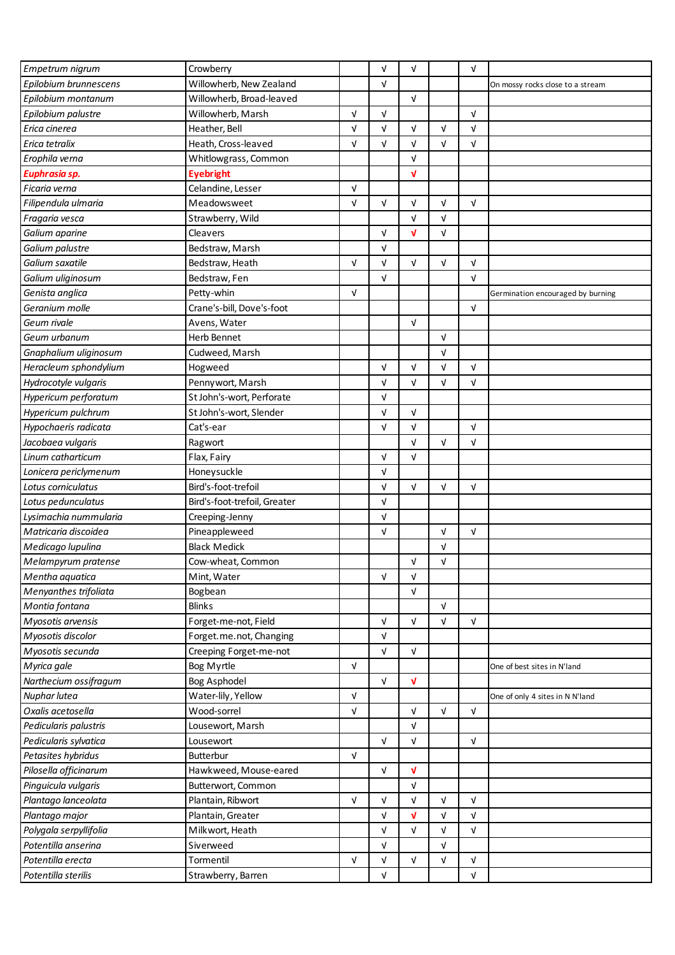| Empetrum nigrum        | Crowberry                    |            | V          | $\sqrt{ }$                |            | V          |                                   |
|------------------------|------------------------------|------------|------------|---------------------------|------------|------------|-----------------------------------|
| Epilobium brunnescens  | Willowherb, New Zealand      |            | V          |                           |            |            | On mossy rocks close to a stream  |
| Epilobium montanum     | Willowherb, Broad-leaved     |            |            | $\sqrt{ }$                |            |            |                                   |
| Epilobium palustre     | Willowherb, Marsh            | $\sqrt{ }$ | V          |                           |            | $\sqrt{ }$ |                                   |
| Erica cinerea          | Heather, Bell                | V          | V          | V                         | V          | V          |                                   |
| Erica tetralix         | Heath, Cross-leaved          | $\sqrt{ }$ | V          | $\sqrt{ }$                | $\sqrt{ }$ | V          |                                   |
| Erophila verna         | Whitlowgrass, Common         |            |            | $\sqrt{ }$                |            |            |                                   |
| Euphrasia sp.          | <b>Eyebright</b>             |            |            | V                         |            |            |                                   |
| Ficaria verna          | Celandine, Lesser            | $\sqrt{ }$ |            |                           |            |            |                                   |
| Filipendula ulmaria    | Meadowsweet                  | $\sqrt{ }$ | V          | $\sqrt{ }$                | V          | $\sqrt{ }$ |                                   |
| Fragaria vesca         | Strawberry, Wild             |            |            | $\sqrt{ }$                | $\sqrt{ }$ |            |                                   |
| Galium aparine         | Cleavers                     |            | V          | V                         | $\sqrt{ }$ |            |                                   |
| Galium palustre        | Bedstraw, Marsh              |            | V          |                           |            |            |                                   |
| Galium saxatile        | Bedstraw, Heath              | $\sqrt{ }$ | V          | $\sqrt{ }$                | $\sqrt{ }$ | V          |                                   |
| Galium uliginosum      | Bedstraw, Fen                |            | V          |                           |            | V          |                                   |
| Genista anglica        | Petty-whin                   | $\sqrt{ }$ |            |                           |            |            |                                   |
| Geranium molle         |                              |            |            |                           |            |            | Germination encouraged by burning |
|                        | Crane's-bill, Dove's-foot    |            |            |                           |            | $\sqrt{ }$ |                                   |
| Geum rivale            | Avens, Water                 |            |            | $\sqrt{ }$                |            |            |                                   |
| Geum urbanum           | Herb Bennet                  |            |            |                           | $\sqrt{ }$ |            |                                   |
| Gnaphalium uliginosum  | Cudweed, Marsh               |            |            |                           | $\sqrt{ }$ |            |                                   |
| Heracleum sphondylium  | Hogweed                      |            | V          | $\sqrt{ }$                | $\sqrt{ }$ | V          |                                   |
| Hydrocotyle vulgaris   | Pennywort, Marsh             |            | V          | V                         | V          | V          |                                   |
| Hypericum perforatum   | St John's-wort, Perforate    |            | V          |                           |            |            |                                   |
| Hypericum pulchrum     | St John's-wort, Slender      |            | V          | $\sqrt{ }$                |            |            |                                   |
| Hypochaeris radicata   | Cat's-ear                    |            | $\sqrt{ }$ | $\sqrt{ }$                |            | $\sqrt{ }$ |                                   |
| Jacobaea vulgaris      | Ragwort                      |            |            | $\sqrt{ }$                | $\sqrt{ }$ | V          |                                   |
| Linum catharticum      | Flax, Fairy                  |            | V          | $\sqrt{ }$                |            |            |                                   |
| Lonicera periclymenum  | Honeysuckle                  |            | $\sqrt{ }$ |                           |            |            |                                   |
| Lotus corniculatus     | Bird's-foot-trefoil          |            | $\sqrt{ }$ | $\sqrt{ }$                | $\sqrt{ }$ | $\sqrt{ }$ |                                   |
| Lotus pedunculatus     | Bird's-foot-trefoil, Greater |            | V          |                           |            |            |                                   |
| Lysimachia nummularia  | Creeping-Jenny               |            | V          |                           |            |            |                                   |
| Matricaria discoidea   | Pineappleweed                |            | V          |                           | $\sqrt{ }$ | V          |                                   |
| Medicago lupulina      | <b>Black Medick</b>          |            |            |                           | V          |            |                                   |
| Melampyrum pratense    | Cow-wheat, Common            |            |            | $\sqrt{ }$                | $\sqrt{ }$ |            |                                   |
| Mentha aquatica        | Mint, Water                  |            | V          | $\sqrt{ }$                |            |            |                                   |
| Menyanthes trifoliata  | Bogbean                      |            |            | $\sqrt{ }$                |            |            |                                   |
| Montia fontana         | <b>Blinks</b>                |            |            |                           | $\sqrt{ }$ |            |                                   |
| Myosotis arvensis      | Forget-me-not, Field         |            | $\sqrt{ }$ | $\sqrt{ }$                | $\sqrt{ }$ | $\sqrt{ }$ |                                   |
| Myosotis discolor      | Forget.me.not, Changing      |            | $\sqrt{ }$ |                           |            |            |                                   |
| Myosotis secunda       | Creeping Forget-me-not       |            | $\sqrt{ }$ | $\sqrt{ }$                |            |            |                                   |
| Myrica gale            | Bog Myrtle                   | $\sqrt{ }$ |            |                           |            |            | One of best sites in N'land       |
| Narthecium ossifragum  | Bog Asphodel                 |            | $\sqrt{ }$ | V                         |            |            |                                   |
| Nuphar lutea           | Water-lily, Yellow           | $\sqrt{ }$ |            |                           |            |            | One of only 4 sites in N N'land   |
| Oxalis acetosella      | Wood-sorrel                  | $\sqrt{ }$ |            | $\ensuremath{\mathsf{V}}$ | $\sqrt{ }$ | $\sqrt{ }$ |                                   |
| Pedicularis palustris  | Lousewort, Marsh             |            |            | $\sqrt{ }$                |            |            |                                   |
| Pedicularis sylvatica  | Lousewort                    |            | $\sqrt{ }$ | $\sqrt{ }$                |            | $\sqrt{ }$ |                                   |
| Petasites hybridus     | Butterbur                    | $\sqrt{ }$ |            |                           |            |            |                                   |
| Pilosella officinarum  | Hawkweed, Mouse-eared        |            | $\sqrt{ }$ | $\mathbf{v}$              |            |            |                                   |
| Pinguicula vulgaris    | Butterwort, Common           |            |            | $\sqrt{ }$                |            |            |                                   |
| Plantago lanceolata    | Plantain, Ribwort            | $\sqrt{ }$ | V          | $\sqrt{ }$                | $\sqrt{ }$ | $\sqrt{ }$ |                                   |
| Plantago major         | Plantain, Greater            |            | V          | V                         | $\sqrt{ }$ | V          |                                   |
| Polygala serpyllifolia | Milkwort, Heath              |            | V          | $\sqrt{ }$                | V          | V          |                                   |
| Potentilla anserina    | Siverweed                    |            | V          |                           | V          |            |                                   |
| Potentilla erecta      | Tormentil                    | $\sqrt{ }$ | V          | $\sqrt{ }$                | V          | V          |                                   |
| Potentilla sterilis    | Strawberry, Barren           |            | $\sqrt{ }$ |                           |            | V          |                                   |
|                        |                              |            |            |                           |            |            |                                   |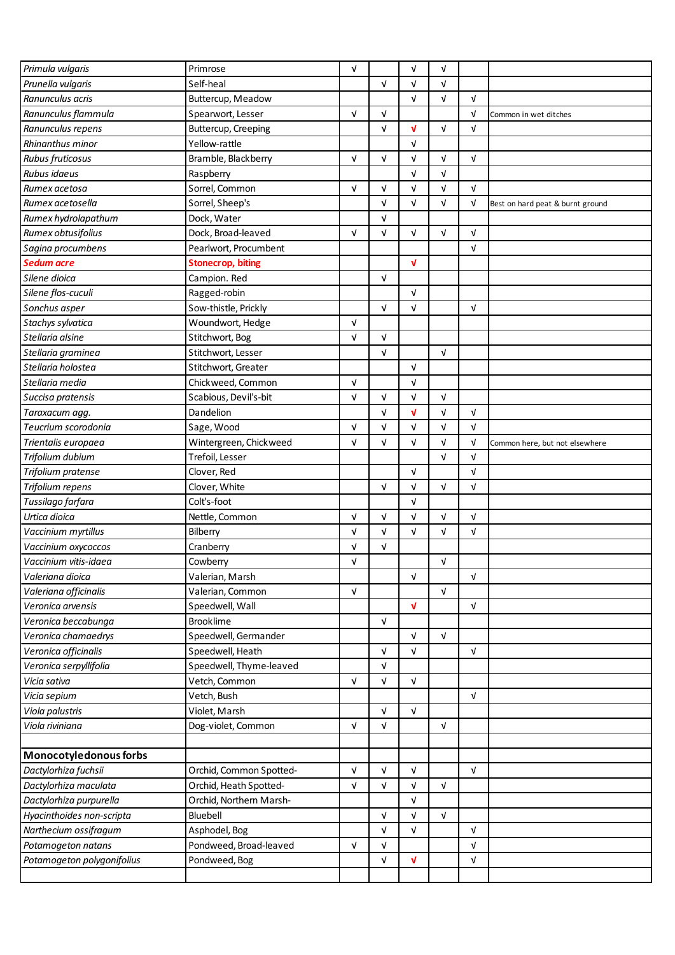| Primula vulgaris           | Primrose                 | $\sqrt{ }$ |            | $\sqrt{ }$ | V          |            |                                  |
|----------------------------|--------------------------|------------|------------|------------|------------|------------|----------------------------------|
| Prunella vulgaris          | Self-heal                |            | $\sqrt{ }$ | $\sqrt{ }$ | $\sqrt{ }$ |            |                                  |
| Ranunculus acris           | Buttercup, Meadow        |            |            | $\sqrt{ }$ | $\sqrt{ }$ | $\sqrt{ }$ |                                  |
| Ranunculus flammula        | Spearwort, Lesser        | $\sqrt{ }$ | V          |            |            | $\sqrt{ }$ | Common in wet ditches            |
| Ranunculus repens          | Buttercup, Creeping      |            | V          | V          | $\sqrt{ }$ | $\sqrt{ }$ |                                  |
| Rhinanthus minor           | Yellow-rattle            |            |            | $\sqrt{ }$ |            |            |                                  |
| Rubus fruticosus           | Bramble, Blackberry      | $\sqrt{ }$ | V          | V          | $\sqrt{ }$ | $\sqrt{ }$ |                                  |
| Rubus idaeus               | Raspberry                |            |            | $\sqrt{ }$ | $\sqrt{ }$ |            |                                  |
| Rumex acetosa              | Sorrel, Common           | $\sqrt{ }$ | V          | $\sqrt{ }$ | $\sqrt{ }$ | $\sqrt{ }$ |                                  |
| Rumex acetosella           | Sorrel, Sheep's          |            | $\sqrt{ }$ | V          | $\sqrt{ }$ | $\sqrt{ }$ | Best on hard peat & burnt ground |
| Rumex hydrolapathum        | Dock, Water              |            | $\sqrt{ }$ |            |            |            |                                  |
| Rumex obtusifolius         | Dock, Broad-leaved       | $\sqrt{ }$ | V          | $\sqrt{ }$ | $\sqrt{ }$ | $\sqrt{ }$ |                                  |
| Sagina procumbens          | Pearlwort, Procumbent    |            |            |            |            | $\sqrt{ }$ |                                  |
| <b>Sedum acre</b>          | <b>Stonecrop, biting</b> |            |            | V          |            |            |                                  |
| Silene dioica              | Campion. Red             |            | $\sqrt{ }$ |            |            |            |                                  |
| Silene flos-cuculi         | Ragged-robin             |            |            | $\sqrt{ }$ |            |            |                                  |
| Sonchus asper              | Sow-thistle, Prickly     |            | $\sqrt{ }$ | $\sqrt{ }$ |            | $\sqrt{ }$ |                                  |
| Stachys sylvatica          | Woundwort, Hedge         | $\sqrt{ }$ |            |            |            |            |                                  |
| Stellaria alsine           | Stitchwort, Bog          | $\sqrt{ }$ | V          |            |            |            |                                  |
| Stellaria graminea         | Stitchwort, Lesser       |            | V          |            | $\sqrt{ }$ |            |                                  |
| Stellaria holostea         | Stitchwort, Greater      |            |            | $\sqrt{ }$ |            |            |                                  |
| Stellaria media            | Chickweed, Common        | $\sqrt{ }$ |            | $\sqrt{ }$ |            |            |                                  |
| Succisa pratensis          | Scabious, Devil's-bit    | $\sqrt{ }$ | $\sqrt{ }$ | V          | $\sqrt{ }$ |            |                                  |
| Taraxacum agg.             | Dandelion                |            | $\sqrt{ }$ | V          | $\sqrt{ }$ | $\sqrt{ }$ |                                  |
| Teucrium scorodonia        | Sage, Wood               | $\sqrt{ }$ | V          | V          | V          | $\sqrt{ }$ |                                  |
| Trientalis europaea        | Wintergreen, Chickweed   | $\sqrt{ }$ | V          | V          | $\sqrt{ }$ | $\sqrt{ }$ | Common here, but not elsewhere   |
| Trifolium dubium           | Trefoil, Lesser          |            |            |            | $\sqrt{ }$ | $\sqrt{ }$ |                                  |
| Trifolium pratense         | Clover, Red              |            |            | $\sqrt{ }$ |            | $\sqrt{ }$ |                                  |
| Trifolium repens           | Clover, White            |            | V          | V          | $\sqrt{ }$ | $\sqrt{ }$ |                                  |
| Tussilago farfara          | Colt's-foot              |            |            | V          |            |            |                                  |
| Urtica dioica              | Nettle, Common           | $\sqrt{ }$ | $\sqrt{ }$ | $\sqrt{ }$ | $\sqrt{ }$ | $\sqrt{ }$ |                                  |
| Vaccinium myrtillus        | Bilberry                 | $\sqrt{ }$ | $\sqrt{ }$ | $\sqrt{ }$ | $\sqrt{ }$ | $\sqrt{ }$ |                                  |
| Vaccinium oxycoccos        | Cranberry                | V          | V          |            |            |            |                                  |
| Vaccinium vitis-idaea      | Cowberry                 | $\sqrt{ }$ |            |            | V          |            |                                  |
| Valeriana dioica           | Valerian, Marsh          |            |            | $\sqrt{ }$ |            | $\sqrt{ }$ |                                  |
| Valeriana officinalis      | Valerian, Common         | $\sqrt{ }$ |            |            | V          |            |                                  |
| Veronica arvensis          | Speedwell, Wall          |            |            | $\sqrt{ }$ |            | $\sqrt{ }$ |                                  |
| Veronica beccabunga        | <b>Brooklime</b>         |            | V          |            |            |            |                                  |
| Veronica chamaedrys        | Speedwell, Germander     |            |            | $\sqrt{ }$ | $\sqrt{ }$ |            |                                  |
| Veronica officinalis       | Speedwell, Heath         |            | V          | V          |            | $\sqrt{ }$ |                                  |
| Veronica serpyllifolia     | Speedwell, Thyme-leaved  |            | V          |            |            |            |                                  |
| Vicia sativa               | Vetch, Common            | $\sqrt{ }$ | $\sqrt{ }$ | $\sqrt{ }$ |            |            |                                  |
| Vicia sepium               | Vetch, Bush              |            |            |            |            | $\sqrt{ }$ |                                  |
| Viola palustris            | Violet, Marsh            |            | $\sqrt{ }$ | $\sqrt{ }$ |            |            |                                  |
| Viola riviniana            | Dog-violet, Common       | $\sqrt{ }$ | $\sqrt{ }$ |            | V          |            |                                  |
|                            |                          |            |            |            |            |            |                                  |
| Monocotyledonous forbs     |                          |            |            |            |            |            |                                  |
| Dactylorhiza fuchsii       | Orchid, Common Spotted-  | $\sqrt{ }$ | V          | $\sqrt{ }$ |            | $\sqrt{ }$ |                                  |
| Dactylorhiza maculata      | Orchid, Heath Spotted-   | $\sqrt{ }$ | $\sqrt{ }$ | $\sqrt{ }$ | V          |            |                                  |
| Dactylorhiza purpurella    | Orchid, Northern Marsh-  |            |            | $\sqrt{ }$ |            |            |                                  |
| Hyacinthoides non-scripta  | Bluebell                 |            | V          | V          | $\sqrt{ }$ |            |                                  |
| Narthecium ossifragum      | Asphodel, Bog            |            | $\sqrt{ }$ | $\sqrt{ }$ |            | $\sqrt{ }$ |                                  |
| Potamogeton natans         | Pondweed, Broad-leaved   | $\sqrt{ }$ | V          |            |            | $\sqrt{ }$ |                                  |
| Potamogeton polygonifolius | Pondweed, Bog            |            | V          | V          |            | $\sqrt{ }$ |                                  |
|                            |                          |            |            |            |            |            |                                  |
|                            |                          |            |            |            |            |            |                                  |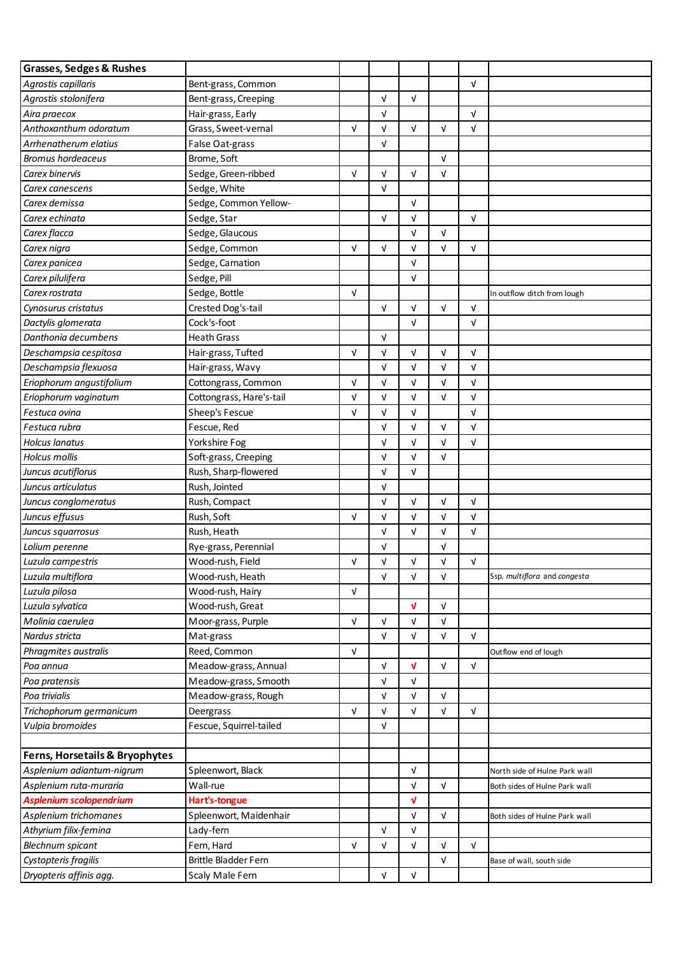| <b>Grasses, Sedges &amp; Rushes</b> |                          |            |            |            |            |            |                               |
|-------------------------------------|--------------------------|------------|------------|------------|------------|------------|-------------------------------|
| Agrostis capillaris                 | Bent-grass, Common       |            |            |            |            | V          |                               |
| Agrostis stolonifera                | Bent-grass, Creeping     |            | $\sqrt{ }$ | $\sqrt{ }$ |            |            |                               |
| Aira praecox                        | Hair-grass, Early        |            | $\sqrt{ }$ |            |            | $\sqrt{ }$ |                               |
| Anthoxanthum odoratum               | Grass, Sweet-vernal      | $\sqrt{ }$ | V          | $\sqrt{ }$ | $\sqrt{ }$ | V          |                               |
| Arrhenatherum elatius               | False Oat-grass          |            | V          |            |            |            |                               |
| <b>Bromus hordeaceus</b>            | Brome, Soft              |            |            |            | $\sqrt{ }$ |            |                               |
| Carex binervis                      | Sedge, Green-ribbed      | $\sqrt{ }$ | V          | $\sqrt{ }$ | $\sqrt{ }$ |            |                               |
| Carex canescens                     | Sedge, White             |            | $\sqrt{ }$ |            |            |            |                               |
| Carex demissa                       | Sedge, Common Yellow-    |            |            | $\sqrt{ }$ |            |            |                               |
| Carex echinata                      | Sedge, Star              |            | $\sqrt{ }$ | $\sqrt{ }$ |            | $\sqrt{ }$ |                               |
| Carex flacca                        | Sedge, Glaucous          |            |            | $\sqrt{ }$ | $\sqrt{ }$ |            |                               |
| Carex nigra                         | Sedge, Common            | $\sqrt{ }$ | $\sqrt{ }$ | V          | $\sqrt{ }$ | $\sqrt{ }$ |                               |
| Carex panicea                       | Sedge, Carnation         |            |            | $\sqrt{ }$ |            |            |                               |
| Carex pilulifera                    | Sedge, Pill              |            |            | $\sqrt{ }$ |            |            |                               |
| Carex rostrata                      | Sedge, Bottle            | $\sqrt{ }$ |            |            |            |            | In outflow ditch from lough   |
| Cynosurus cristatus                 | Crested Dog's-tail       |            | $\sqrt{ }$ | $\sqrt{ }$ | $\sqrt{ }$ | $\sqrt{ }$ |                               |
| Dactylis glomerata                  | Cock's-foot              |            |            | $\sqrt{ }$ |            | $\sqrt{ }$ |                               |
| Danthonia decumbens                 | <b>Heath Grass</b>       |            | $\sqrt{ }$ |            |            |            |                               |
| Deschampsia cespitosa               | Hair-grass, Tufted       | $\sqrt{ }$ | V          | $\sqrt{ }$ | $\sqrt{ }$ | V          |                               |
| Deschampsia flexuosa                | Hair-grass, Wavy         |            | V          | $\sqrt{ }$ | $\sqrt{ }$ | V          |                               |
| Eriophorum angustifolium            | Cottongrass, Common      | V          | V          | V          | V          | V          |                               |
| Eriophorum vaginatum                | Cottongrass, Hare's-tail | $\sqrt{ }$ | $\sqrt{ }$ | $\sqrt{ }$ | $\sqrt{ }$ | V          |                               |
| Festuca ovina                       | Sheep's Fescue           | $\sqrt{ }$ | V          | $\sqrt{ }$ |            | $\sqrt{ }$ |                               |
| Festuca rubra                       | Fescue, Red              |            | V          | $\sqrt{ }$ | $\sqrt{ }$ | V          |                               |
| Holcus lanatus                      | Yorkshire Fog            |            | V          | $\sqrt{ }$ | V          | V          |                               |
| Holcus mollis                       | Soft-grass, Creeping     |            | V          | $\sqrt{ }$ | $\sqrt{ }$ |            |                               |
| Juncus acutiflorus                  | Rush, Sharp-flowered     |            | $\sqrt{ }$ | $\sqrt{ }$ |            |            |                               |
| Juncus articulatus                  | Rush, Jointed            |            | V          |            |            |            |                               |
| Juncus conglomeratus                | Rush, Compact            |            | $\sqrt{ }$ | $\sqrt{ }$ | $\sqrt{ }$ | $\sqrt{ }$ |                               |
| Juncus effusus                      | Rush, Soft               | $\sqrt{ }$ | V          | ${\sf V}$  | V          | V          |                               |
| Juncus squarrosus                   | Rush, Heath              |            | V          | $\sqrt{ }$ | V          | V          |                               |
| Lolium perenne                      | Rye-grass, Perennial     |            | V          |            | $\sqrt{ }$ |            |                               |
| Luzula campestris                   | Wood-rush, Field         | $\sqrt{ }$ | V          | $\sqrt{ }$ | $\sqrt{ }$ | $\sqrt{ }$ |                               |
| Luzula multiflora                   | Wood-rush, Heath         |            | V          | $\sqrt{ }$ | V          |            | Ssp. multiflora and congesta  |
| Luzula pilosa                       | Wood-rush, Hairy         | V          |            |            |            |            |                               |
| Luzula sylvatica                    | Wood-rush, Great         |            |            | V          | V          |            |                               |
| Molinia caerulea                    | Moor-grass, Purple       | $\sqrt{ }$ | V          | $\sqrt{ }$ | $\sqrt{ }$ |            |                               |
| Nardus stricta                      | Mat-grass                |            | $\sqrt{ }$ | $\sqrt{ }$ | $\sqrt{ }$ | $\sqrt{ }$ |                               |
| Phragmites australis                | Reed, Common             | $\sqrt{ }$ |            |            |            |            | Outflow end of lough          |
| Poa annua                           | Meadow-grass, Annual     |            | V          | V          | V          | V          |                               |
| Poa pratensis                       | Meadow-grass, Smooth     |            | $\sqrt{ }$ | $\sqrt{ }$ |            |            |                               |
| Poa trivialis                       | Meadow-grass, Rough      |            | V          | $\sqrt{ }$ | $\sqrt{ }$ |            |                               |
| Trichophorum germanicum             | Deergrass                | V          | V          | V          | V          | $\sqrt{ }$ |                               |
| Vulpia bromoides                    | Fescue, Squirrel-tailed  |            | $\sqrt{ }$ |            |            |            |                               |
|                                     |                          |            |            |            |            |            |                               |
| Ferns, Horsetails & Bryophytes      |                          |            |            |            |            |            |                               |
| Asplenium adiantum-nigrum           | Spleenwort, Black        |            |            | $\sqrt{ }$ |            |            | North side of Hulne Park wall |
| Asplenium ruta-muraria              | Wall-rue                 |            |            | $\sqrt{ }$ | V          |            | Both sides of Hulne Park wall |
| <b>Asplenium scolopendrium</b>      | Hart's-tongue            |            |            | V          |            |            |                               |
| Asplenium trichomanes               | Spleenwort, Maidenhair   |            |            | $\sqrt{ }$ | V          |            | Both sides of Hulne Park wall |
| Athyrium filix-femina               | Lady-fern                |            | V          | $\sqrt{ }$ |            |            |                               |
| <b>Blechnum spicant</b>             | Fern, Hard               | V          | V          | V          | V          | $\sqrt{ }$ |                               |
| Cystopteris fragilis                | Brittle Bladder Fern     |            |            |            | V          |            | Base of wall, south side      |
| Dryopteris affinis agg.             | Scaly Male Fern          |            | V          | $\sqrt{ }$ |            |            |                               |